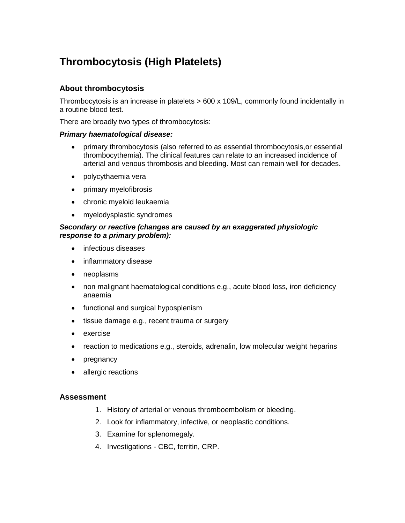# **Thrombocytosis (High Platelets)**

## **About thrombocytosis**

Thrombocytosis is an increase in platelets > 600 x 109/L, commonly found incidentally in a routine blood test.

There are broadly two types of thrombocytosis:

#### *Primary haematological disease:*

- primary thrombocytosis (also referred to as essential thrombocytosis,or essential thrombocythemia). The clinical features can relate to an increased incidence of arterial and venous thrombosis and bleeding. Most can remain well for decades.
- polycythaemia vera
- primary myelofibrosis
- chronic myeloid leukaemia
- myelodysplastic syndromes

#### *Secondary or reactive (changes are caused by an exaggerated physiologic response to a primary problem):*

- infectious diseases
- inflammatory disease
- neoplasms
- non malignant haematological conditions e.g., acute blood loss, iron deficiency anaemia
- functional and surgical hyposplenism
- tissue damage e.g., recent trauma or surgery
- exercise
- reaction to medications e.g., steroids, adrenalin, low molecular weight heparins
- pregnancy
- allergic reactions

### **Assessment**

- 1. History of arterial or venous thromboembolism or bleeding.
- 2. Look for inflammatory, infective, or neoplastic conditions.
- 3. Examine for splenomegaly.
- 4. Investigations CBC, ferritin, CRP.